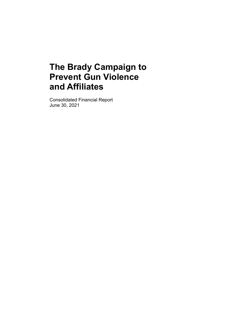Consolidated Financial Report June 30, 2021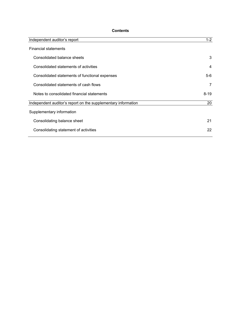# **Contents**

| Independent auditor's report                                  | $1 - 2$  |
|---------------------------------------------------------------|----------|
| <b>Financial statements</b>                                   |          |
| Consolidated balance sheets                                   | 3        |
| Consolidated statements of activities                         | 4        |
| Consolidated statements of functional expenses                | $5-6$    |
| Consolidated statements of cash flows                         | 7        |
| Notes to consolidated financial statements                    | $8 - 19$ |
| Independent auditor's report on the supplementary information | 20       |
| Supplementary information                                     |          |
| Consolidating balance sheet                                   | 21       |
| Consolidating statement of activities                         | 22       |
|                                                               |          |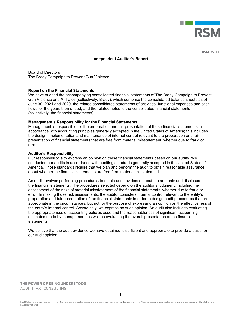

**RSM US LLP** 

#### **Independent Auditor's Report**

Board of Directors The Brady Campaign to Prevent Gun Violence

#### **Report on the Financial Statements**

We have audited the accompanying consolidated financial statements of The Brady Campaign to Prevent Gun Violence and Affiliates (collectively, Brady), which comprise the consolidated balance sheets as of June 30, 2021 and 2020, the related consolidated statements of activities, functional expenses and cash flows for the years then ended, and the related notes to the consolidated financial statements (collectively, the financial statements).

#### **Management's Responsibility for the Financial Statements**

Management is responsible for the preparation and fair presentation of these financial statements in accordance with accounting principles generally accepted in the United States of America; this includes the design, implementation and maintenance of internal control relevant to the preparation and fair presentation of financial statements that are free from material misstatement, whether due to fraud or error.

#### **Auditor's Responsibility**

Our responsibility is to express an opinion on these financial statements based on our audits. We conducted our audits in accordance with auditing standards generally accepted in the United States of America. Those standards require that we plan and perform the audit to obtain reasonable assurance about whether the financial statements are free from material misstatement.

An audit involves performing procedures to obtain audit evidence about the amounts and disclosures in the financial statements. The procedures selected depend on the auditor's judgment, including the assessment of the risks of material misstatement of the financial statements, whether due to fraud or error. In making those risk assessments, the auditor considers internal control relevant to the entity's preparation and fair presentation of the financial statements in order to design audit procedures that are appropriate in the circumstances, but not for the purpose of expressing an opinion on the effectiveness of the entity's internal control. Accordingly, we express no such opinion. An audit also includes evaluating the appropriateness of accounting policies used and the reasonableness of significant accounting estimates made by management, as well as evaluating the overall presentation of the financial statements.

We believe that the audit evidence we have obtained is sufficient and appropriate to provide a basis for our audit opinion.

THE POWER OF BEING UNDERSTOOD **AUDIT | TAX | CONSULTING**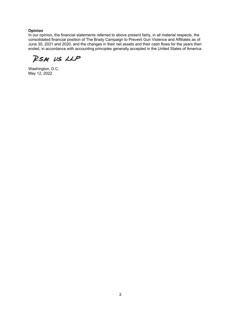## **Opinion**

In our opinion, the financial statements referred to above present fairly, in all material respects, the consolidated financial position of The Brady Campaign to Prevent Gun Violence and Affiliates as of June 30, 2021 and 2020, and the changes in their net assets and their cash flows for the years then ended, in accordance with accounting principles generally accepted in the United States of America.

RSM US LLP

Washington, D.C. May 12, 2022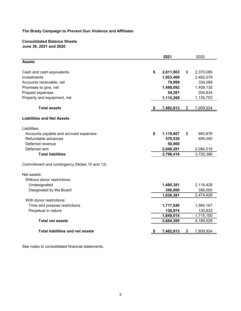## **Consolidated Balance Sheets June 30, 2021 and 2020**

|                                              |    | 2021      | 2020            |
|----------------------------------------------|----|-----------|-----------------|
| <b>Assets</b>                                |    |           |                 |
| Cash and cash equivalents                    | \$ | 2,811,803 | \$<br>2,370,085 |
| Investments                                  |    | 1,923,469 | 2,462,079       |
| Accounts receivable, net                     |    | 79,899    | 334,088         |
| Promises to give, net                        |    | 1,498,092 | 1,408,135       |
| Prepaid expenses                             |    | 54,281    | 204,834         |
| Property and equipment, net                  |    | 1,115,269 | 1,130,703       |
| <b>Total assets</b>                          | -5 | 7,482,813 | \$<br>7,909,924 |
| <b>Liabilities and Net Assets</b>            |    |           |                 |
| Liabilities:                                 |    |           |                 |
| Accounts payable and accrued expenses        | \$ | 1,119,607 | \$<br>940,878   |
| Refundable advances                          |    | 579,530   | 695,000         |
| Deferred revenue                             |    | 50,000    |                 |
| Deferred rent                                |    | 2,049,281 | 2,084,518       |
| <b>Total liabilities</b>                     |    | 3,798,418 | 3,720,396       |
| Commitment and contingency (Notes 10 and 13) |    |           |                 |
| Net assets:                                  |    |           |                 |
| Without donor restrictions:                  |    |           |                 |
| Undesignated                                 |    | 1,480,381 | 2,118,428       |
| Designated by the Board                      |    | 356,000   | 356,000         |
|                                              |    | 1,836,381 | 2,474,428       |
| With donor restrictions:                     |    |           |                 |
| Time and purpose restrictions                |    | 1,717,040 | 1,584,167       |
| Perpetual in nature                          |    | 130,974   | 130,933         |
|                                              |    | 1,848,014 | 1,715,100       |
| <b>Total net assets</b>                      |    | 3,684,395 | 4,189,528       |
| <b>Total liabilities and net assets</b>      |    | 7,482,813 | \$<br>7,909,924 |
|                                              |    |           |                 |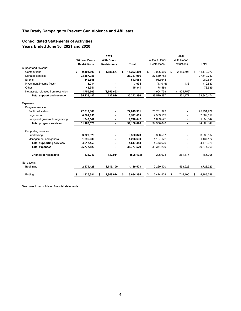## **Consolidated Statements of Activities Years Ended June 30, 2021 and 2020**

|                                      |                      | 2021                |                  | 2020 |                      |    |                              |    |            |  |  |
|--------------------------------------|----------------------|---------------------|------------------|------|----------------------|----|------------------------------|----|------------|--|--|
|                                      | <b>Without Donor</b> | <b>With Donor</b>   |                  |      | <b>Without Donor</b> |    | <b>With Donor</b>            |    |            |  |  |
|                                      | <b>Restrictions</b>  | <b>Restrictions</b> | <b>Total</b>     |      | <b>Restrictions</b>  |    | <b>Restrictions</b>          |    | Total      |  |  |
| Support and revenue:                 |                      |                     |                  |      |                      |    |                              |    |            |  |  |
| Contributions                        | \$<br>9,404,803      | \$<br>1,888,577     | \$<br>11,293,380 | \$   | 9,006,569            | \$ | 2,165,503                    | \$ | 11,172,072 |  |  |
| Donated services                     | 23,387,986           |                     | 23,387,986       |      | 27,619,752           |    |                              |    | 27,619,752 |  |  |
| Events                               | 542,655              |                     | 542,655          |      | 982,644              |    |                              |    | 982,644    |  |  |
| Investment income (loss)             | 3,034                |                     | 3,034            |      | (13,016)             |    | 433                          |    | (12, 583)  |  |  |
| Other                                | 45,341               |                     | 45,341           |      | 78,589               |    |                              |    | 78,589     |  |  |
| Net assets released from restriction | 1,755,663            | (1,755,663)         |                  |      | 1,904,759            |    | (1,904,759)                  |    |            |  |  |
| <b>Total support and revenue</b>     | 35,139,482           | 132,914             | 35,272,396       |      | 39,579,297           |    | 261,177                      |    | 39,840,474 |  |  |
| Expenses:                            |                      |                     |                  |      |                      |    |                              |    |            |  |  |
| Program services:                    |                      |                     |                  |      |                      |    |                              |    |            |  |  |
| Public education                     | 22,819,381           |                     | 22,819,381       |      | 25,731,979           |    |                              |    | 25,731,979 |  |  |
| Legal action                         | 6,592,653            |                     | 6,592,653        |      | 7,509,119            |    |                              |    | 7,509,119  |  |  |
| Policy and grassroots organizing     | 1,748,042            |                     | 1,748,042        |      | 1,659,542            |    |                              |    | 1,659,542  |  |  |
| <b>Total program services</b>        | 31,160,076           |                     | 31,160,076       |      | 34,900,640           |    |                              |    | 34,900,640 |  |  |
| Supporting services:                 |                      |                     |                  |      |                      |    |                              |    |            |  |  |
| Fundraising                          | 3,320,823            |                     | 3,320,823        |      | 3,336,507            |    |                              |    | 3,336,507  |  |  |
| Management and general               | 1,296,630            |                     | 1,296,630        |      | 1,137,122            |    |                              |    | 1,137,122  |  |  |
| <b>Total supporting services</b>     | 4,617,453            | ٠                   | 4,617,453        |      | 4,473,629            |    | $\overline{a}$               |    | 4,473,629  |  |  |
| <b>Total expenses</b>                | 35,777,529           | ٠                   | 35,777,529       |      | 39,374,269           |    | $\qquad \qquad \blacksquare$ |    | 39,374,269 |  |  |
| Change in net assets                 | (638, 047)           | 132,914             | (505, 133)       |      | 205,028              |    | 261,177                      |    | 466,205    |  |  |
| Net assets:                          |                      |                     |                  |      |                      |    |                              |    |            |  |  |
| Beginning                            | 2,474,428            | 1,715,100           | 4,189,528        |      | 2,269,400            |    | 1,453,923                    |    | 3,723,323  |  |  |
| Ending                               | 1,836,381            | 1,848,014           | 3,684,395        | \$   | 2,474,428            |    | 1,715,100                    | S  | 4,189,528  |  |  |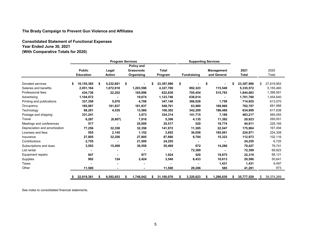**Consolidated Statement of Functional Expenses Year Ended June 30, 2021 (With Comparative Totals for 2020)**

|                               | <b>Program Services</b> |                  |    |               |     |                   |    | <b>Supporting Services</b> |    |                    |    |             |                  |                  |
|-------------------------------|-------------------------|------------------|----|---------------|-----|-------------------|----|----------------------------|----|--------------------|----|-------------|------------------|------------------|
|                               |                         |                  |    |               |     | Policy and        |    |                            |    |                    |    |             |                  |                  |
|                               |                         | <b>Public</b>    |    | Legal         |     | <b>Grassroots</b> |    | <b>Total</b>               |    |                    |    | Management  | 2021             | 2020             |
|                               |                         | <b>Education</b> |    | <b>Action</b> |     | Organizing        |    | Program                    |    | <b>Fundraising</b> |    | and General | <b>Total</b>     | Total            |
| Donated services              | \$                      | 18.155.385       | \$ | 5,232,601     | -\$ |                   | \$ | 23,387,986                 | \$ |                    | \$ |             | \$<br>23,387,986 | \$<br>27,619,952 |
| Salaries and benefits         |                         | 2,051,184        |    | 1,072,918     |     | 1,203,598         |    | 4,327,700                  |    | 892,323            |    | 115,549     | 5,335,572        | 5,155,460        |
| Professional fees             |                         | 434,736          |    | 22,202        |     | 165,898           |    | 622,836                    |    | 705,454            |    | 515,793     | 1,844,083        | 1,398,561        |
| Advertising                   |                         | 1,104,072        |    |               |     | 19,674            |    | 1,123,746                  |    | 638,014            |    |             | 1,761,760        | 1,454,640        |
| Printing and publications     |                         | 337,358          |    | 5,076         |     | 4,706             |    | 347,140                    |    | 366,026            |    | 1,759       | 714,925          | 613,070          |
| Occupancy                     |                         | 185,087          |    | 181,837       |     | 181,837           |    | 548,761                    |    | 63,980             |    | 169,966     | 782,707          | 681,988          |
| Technology                    |                         | 88,201           |    | 4,535         |     | 13,566            |    | 106,302                    |    | 342,209            |    | 186,488     | 634,999          | 617,838          |
| Postage and shipping          |                         | 331,241          |    |               |     | 3,073             |    | 334,314                    |    | 141,715            |    | 7,188       | 483,217          | 565,055          |
| Travel                        |                         | 6,287            |    | (8, 807)      |     | 7,916             |    | 5,396                      |    | 4,135              |    | 11,392      | 20,923           | 260,001          |
| Meetings and conferences      |                         | 517              |    |               |     | 25,000            |    | 25,517                     |    | 520                |    | 18,774      | 44,811           | 228,165          |
| Depreciation and amortization |                         | 77,256           |    | 32,358        |     | 32,358            |    | 141,972                    |    | 11,385             |    | 22,547      | 175,904          | 167,494          |
| Licenses and fees             |                         | 555              |    | 2,145         |     | 1,152             |    | 3,852                      |    | 36,058             |    | 185,061     | 224,971          | 224,308          |
| Insurance                     |                         | 27,805           |    | 32,256        |     | 27,805            |    | 87,866                     |    | 9,784              |    | 15,323      | 112,973          | 102,116          |
| Contributions                 |                         | 2,755            |    |               |     | 21,500            |    | 24,255                     |    |                    |    |             | 24,255           | 6,725            |
| Subscriptions and dues        |                         | 3,503            |    | 15,408        |     | 36,558            |    | 55,469                     |    | 672                |    | 14,286      | 70,427           | 79,741           |
| List rental                   |                         |                  |    |               |     |                   |    |                            |    | 72,389             |    |             | 72,389           | 69,923           |
| <b>Equipment repairs</b>      |                         | 947              |    |               |     | 977               |    | 1,924                      |    | 520                |    | 19,875      | 22,319           | 68,121           |
| Supplies                      |                         | 992              |    | 124           |     | 2,424             |    | 3,540                      |    | 6,433              |    | 10,613      | 20,586           | 50,641           |
| <b>Taxes</b>                  |                         |                  |    |               |     |                   |    |                            |    |                    |    | 1,431       | 1,431            | 9,497            |
| Other                         |                         | 11,500           |    |               |     |                   |    | 11,500                     |    | 29,206             |    | 585         | 41,291           | 973              |
|                               |                         | 22,819,381       | \$ | 6,592,653     |     | 1,748,042         | \$ | 31,160,076                 | S  | 3,320,823          | Ŝ. | 1,296,630   | \$<br>35,777,529 | \$<br>39,374,269 |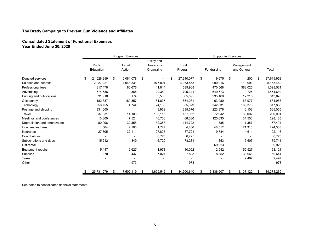**Consolidated Statement of Functional Expenses Year Ended June 30, 2020**

|                               |    | Program Services |    |           |    |                          |    |            |    |             |    | <b>Supporting Services</b> |    |            |  |  |
|-------------------------------|----|------------------|----|-----------|----|--------------------------|----|------------|----|-------------|----|----------------------------|----|------------|--|--|
|                               |    | Public           |    | Legal     |    | Policy and<br>Grassroots |    | Total      |    |             |    | Management                 |    |            |  |  |
|                               |    | Education        |    | Action    |    | Organizing               |    | Program    |    | Fundraising |    | and General                |    | Total      |  |  |
| Donated services              | \$ | 21,528,999       | \$ | 6,081,078 | \$ |                          | \$ | 27,610,077 | \$ | 9,675       | \$ | 200                        | \$ | 27,619,952 |  |  |
| Salaries and benefits         |    | 2,027,221        |    | 1,048,531 |    | 977,801                  |    | 4,053,553  |    | 990,916     |    | 110,991                    |    | 5,155,460  |  |  |
| Professional fees             |    | 317,478          |    | 80,676    |    | 141,814                  |    | 539,968    |    | 470,568     |    | 388,025                    |    | 1,398,561  |  |  |
| Advertising                   |    | 774,636          |    | 365       |    | 20,340                   |    | 795,341    |    | 649,573     |    | 9,726                      |    | 1,454,640  |  |  |
| Printing and publications     |    | 331,918          |    | 174       |    | 33,503                   |    | 365,595    |    | 235,160     |    | 12,315                     |    | 613,070    |  |  |
| Occupancy                     |    | 182,337          |    | 189,857   |    | 181,837                  |    | 554,031    |    | 63,980      |    | 63,977                     |    | 681,988    |  |  |
| Technology                    |    | 56,755           |    | 4,744     |    | 24,130                   |    | 85,629     |    | 342,831     |    | 189,378                    |    | 617,838    |  |  |
| Postage and shipping          |    | 331,600          |    | 14        |    | 3,962                    |    | 335,576    |    | 223,376     |    | 6,103                      |    | 565,055    |  |  |
| Travel                        |    | 37,831           |    | 14,106    |    | 105,115                  |    | 157,052    |    | 72,942      |    | 30,007                     |    | 260,001    |  |  |
| Meetings and conferences      |    | 13,800           |    | 7,524     |    | 46,706                   |    | 68,030     |    | 125,635     |    | 34,500                     |    | 228,165    |  |  |
| Depreciation and amortization |    | 80,006           |    | 32,358    |    | 32,358                   |    | 144,722    |    | 11,385      |    | 11,387                     |    | 167,494    |  |  |
| Licenses and fees             |    | 564              |    | 2,195     |    | 1,727                    |    | 4,486      |    | 48,512      |    | 171,310                    |    | 224,308    |  |  |
| Insurance                     |    | 27,805           |    | 32,111    |    | 27,805                   |    | 87,721     |    | 9,784       |    | 4,611                      |    | 102,116    |  |  |
| Contributions                 |    |                  |    |           |    | 6,725                    |    | 6,725      |    |             |    |                            |    | 6,725      |  |  |
| Subscriptions and dues        |    | 15,212           |    | 11,349    |    | 46,720                   |    | 73,281     |    | 853         |    | 5,607                      |    | 79,741     |  |  |
| List rental                   |    |                  |    |           |    |                          |    |            |    | 69,923      |    |                            |    | 69,923     |  |  |
| Equipment repairs             |    | 5,447            |    | 2,627     |    | 1,978                    |    | 10,052     |    | 2,542       |    | 55,527                     |    | 68,121     |  |  |
| Supplies                      |    | 370              |    | 437       |    | 7,021                    |    | 7,828      |    | 8,852       |    | 33,961                     |    | 50,641     |  |  |
| <b>Taxes</b>                  |    |                  |    |           |    |                          |    |            |    |             |    | 9,497                      |    | 9,497      |  |  |
| Other                         |    |                  |    | 973       |    |                          |    | 973        |    |             |    |                            |    | 973        |  |  |
|                               | S  | 25,731,979       | \$ | 7,509,119 | \$ | 1,659,542                | \$ | 34,900,640 | \$ | 3,336,507   | \$ | 1,137,122                  | \$ | 39,374,269 |  |  |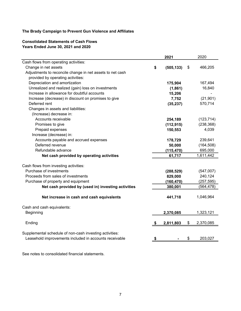# **Consolidated Statements of Cash Flows Years Ended June 30, 2021 and 2020**

|                                                           |           | 2021       | 2020            |
|-----------------------------------------------------------|-----------|------------|-----------------|
| Cash flows from operating activities:                     |           |            |                 |
| Change in net assets                                      | \$        | (505, 133) | \$<br>466,205   |
| Adjustments to reconcile change in net assets to net cash |           |            |                 |
| provided by operating activities:                         |           |            |                 |
| Depreciation and amortization                             |           | 175,904    | 167,494         |
| Unrealized and realized (gain) loss on investments        |           | (1,861)    | 16,840          |
| Increase in allowance for doubtful accounts               |           | 15,206     |                 |
| Increase (decrease) in discount on promises to give       |           | 7,752      | (21, 901)       |
| Deferred rent                                             |           | (35, 237)  | 570,714         |
| Changes in assets and liabilities:                        |           |            |                 |
| (Increase) decrease in:                                   |           |            |                 |
| Accounts receivable                                       |           | 254,189    | (123, 714)      |
| Promises to give                                          |           | (112, 915) | (238, 368)      |
| Prepaid expenses                                          |           | 150,553    | 4,039           |
| Increase (decrease) in:                                   |           |            |                 |
| Accounts payable and accrued expenses                     |           | 178,729    | 239,641         |
| Deferred revenue                                          |           | 50,000     | (164, 508)      |
| Refundable advance                                        |           | (115, 470) | 695,000         |
| Net cash provided by operating activities                 |           | 61,717     | 1,611,442       |
|                                                           |           |            |                 |
| Cash flows from investing activities:                     |           |            |                 |
| Purchase of investments                                   |           | (288, 529) | (547,007)       |
| Proceeds from sales of investments                        |           | 829,000    | 240,124         |
| Purchase of property and equipment                        |           | (160, 470) | (257, 595)      |
| Net cash provided by (used in) investing activities       |           | 380,001    | (564, 478)      |
|                                                           |           |            |                 |
| Net increase in cash and cash equivalents                 |           | 441,718    | 1,046,964       |
|                                                           |           |            |                 |
| Cash and cash equivalents:                                |           |            |                 |
| <b>Beginning</b>                                          |           | 2,370,085  | 1,323,121       |
|                                                           |           |            |                 |
| Ending                                                    | \$        | 2,811,803  | \$<br>2,370,085 |
|                                                           |           |            |                 |
| Supplemental schedule of non-cash investing activities:   |           |            |                 |
| Leasehold improvements included in accounts receivable    | <u>\$</u> |            | \$<br>203,027   |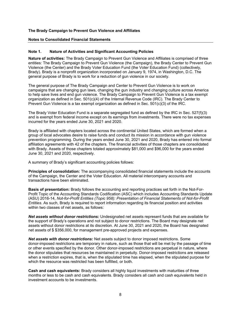#### **Notes to Consolidated Financial Statements**

#### **Note 1. Nature of Activities and Significant Accounting Policies**

**Nature of activities:** The Brady Campaign to Prevent Gun Violence and Affiliates is comprised of three entities: The Brady Campaign to Prevent Gun Violence (the Campaign), the Brady Center to Prevent Gun Violence (the Center) and the Brady Voter Education Fund (the Voter Education Fund) (collectively, Brady). Brady is a nonprofit organization incorporated on January 9, 1974, in Washington, D.C. The general purpose of Brady is to work for a reduction of gun violence in our society.

The general purpose of The Brady Campaign and Center to Prevent Gun Violence is to work on campaigns that are changing gun laws, changing the gun industry and changing culture across America to help save lives and end gun violence. The Brady Campaign to Prevent Gun Violence is a tax exempt organization as defined in Sec. 501(c)(4) of the Internal Revenue Code (IRC). The Brady Center to Prevent Gun Violence is a tax exempt organization as defined in Sec. 501(c)(3) of the IRC.

The Brady Voter Education Fund is a separate segregated fund as defined by the IRC in Sec. 527(f)(3) and is exempt from federal income except on its earnings from investments. There were no tax expenses incurred for the years ended June 30, 2021 and 2020.

Brady is affiliated with chapters located across the continental United States, which are formed when a group of local advocates desire to raise funds and conduct its mission in accordance with gun violence prevention programming. During the years ended June 30, 2021 and 2020, Brady has entered into formal affiliation agreements with 42 of the chapters. The financial activities of those chapters are consolidated with Brady. Assets of those chapters totaled approximately \$81,000 and \$96,000 for the years ended June 30, 2021 and 2020, respectively.

A summary of Brady's significant accounting policies follows:

**Principles of consolidation:** The accompanying consolidated financial statements include the accounts of the Campaign, the Center and the Voter Education. All material intercompany accounts and transactions have been eliminated.

**Basis of presentation:** Brady follows the accounting and reporting practices set forth in the Not-For-Profit Topic of the Accounting Standards Codification (ASC) which includes Accounting Standards Update (ASU) 2016-14, *Not-for-Profit Entities (Topic 958): Presentation of Financial Statements of Not-for-Profit Entities*. As such, Brady is required to report information regarding its financial position and activities within two classes of net assets, as follows:

*Net assets without donor restrictions:* Undesignated net assets represent funds that are available for the support of Brady's operations and not subject to donor restrictions. The Board may designate net assets without donor restrictions at its discretion. At June 30, 2021 and 2020, the Board has designated net assets of \$ \$356,000, for management pre-approved projects and expenses.

*Net assets with donor restrictions:* Net assets subject to donor imposed restrictions. Some donor-imposed restrictions are temporary in nature, such as those that will be met by the passage of time or other events specified by the donor. Other donor-imposed restrictions are perpetual in nature, where the donor stipulates that resources be maintained in perpetuity. Donor-imposed restrictions are released when a restriction expires, that is, when the stipulated time has elapsed, when the stipulated purpose for which the resource was restricted has been fulfilled, or both.

**Cash and cash equivalents:** Brady considers all highly liquid investments with maturities of three months or less to be cash and cash equivalents. Brady considers all cash and cash equivalents held in investment accounts to be investments.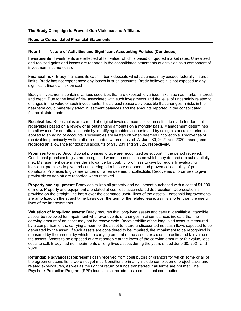#### **Notes to Consolidated Financial Statements**

#### **Note 1. Nature of Activities and Significant Accounting Policies (Continued)**

**Investments:** Investments are reflected at fair value, which is based on quoted market rates. Unrealized and realized gains and losses are reported in the consolidated statements of activities as a component of investment income (loss).

**Financial risk:** Brady maintains its cash in bank deposits which, at times, may exceed federally insured limits. Brady has not experienced any losses in such accounts. Brady believes it is not exposed to any significant financial risk on cash.

Brady's investments contains various securities that are exposed to various risks, such as market, interest and credit. Due to the level of risk associated with such investments and the level of uncertainly related to changes in the value of such investments, it is at least reasonably possible that changes in risks in the near term could materially affect investment balances and the amounts reported in the consolidated financial statements.

**Receivables:** Receivables are carried at original invoice amounts less an estimate made for doubtful receivables based on a review of all outstanding amounts on a monthly basis. Management determines the allowance for doubtful accounts by identifying troubled accounts and by using historical experience applied to an aging of accounts. Receivables are written off when deemed uncollectible. Recoveries of receivables previously written off are recorded when received. At June 30, 2021 and 2020, management recorded an allowance for doubtful accounts of \$16,231 and \$1,025, respectively.

**Promises to give:** Unconditional promises to give are recognized as support in the period received. Conditional promises to give are recognized when the conditions on which they depend are substantially met. Management determines the allowance for doubtful promises to give by regularly evaluating individual promises to give and considering prior history of donors and proven collectability of past donations. Promises to give are written off when deemed uncollectible. Recoveries of promises to give previously written off are recorded when received.

**Property and equipment:** Brady capitalizes all property and equipment purchased with a cost of \$1,000 or more. Property and equipment are stated at cost less accumulated depreciation. Depreciation is provided on the straight-line basis over the estimated useful lives of the assets. Leasehold improvements are amortized on the straight-line basis over the term of the related lease, as it is shorter than the useful lives of the improvements.

**Valuation of long-lived assets:** Brady requires that long-lived assets and certain identifiable intangible assets be reviewed for impairment whenever events or changes in circumstances indicate that the carrying amount of an asset may not be recoverable. Recoverability of the long-lived asset is measured by a comparison of the carrying amount of the asset to future undiscounted net cash flows expected to be generated by the asset. If such assets are considered to be impaired, the impairment to be recognized is measured by the amount by which the carrying amount of the assets exceeds the estimated fair value of the assets. Assets to be disposed of are reportable at the lower of the carrying amount or fair value, less costs to sell. Brady had no impairments of long-lived assets during the years ended June 30, 2021 and 2020.

**Refundable advances:** Represents cash received from contributors or grantors for which some or all of the agreement conditions were not yet met. Conditions primarily include completion of project tasks and related expenditures, as well as the right of return of funds transferred if all terms are not met. The Paycheck Protection Program (PPP) loan is also included as a conditional contribution.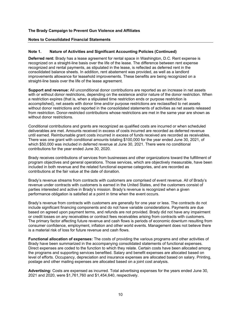#### **Notes to Consolidated Financial Statements**

#### **Note 1. Nature of Activities and Significant Accounting Policies (Continued)**

**Deferred rent:** Brady has a lease agreement for rental space in Washington, D.C. Rent expense is recognized on a straight-line basis over the life of the lease. The difference between rent expense recognized and rental payments, as stipulated in the lease, is reflected as deferred rent in the consolidated balance sheets. In addition, rent abatement was provided, as well as a landlord improvements allowance for leasehold improvements. These benefits are being recognized on a straight-line basis over the life of the lease agreement.

**Support and revenue:** All unconditional donor contributions are reported as an increase in net assets with or without donor restrictions, depending on the existence and/or nature of the donor restriction. When a restriction expires (that is, when a stipulated time restriction ends or purpose restriction is accomplished), net assets with donor time and/or purpose restrictions are reclassified to net assets without donor restrictions and reported in the consolidated statements of activities as net assets released from restriction. Donor-restricted contributions whose restrictions are met in the same year are shown as without donor restrictions.

Conditional contributions and grants are recognized as qualified costs are incurred or when scheduled deliverables are met. Amounts received in excess of costs incurred are recorded as deferred revenue until earned. Reimbursable grant costs incurred in excess of funds received are recorded as receivables. There was one grant with conditional amounts totaling \$100,000 for the year ended June 30, 2021, of which \$50,000 was included in deferred revenue at June 30, 2021. There were no conditional contributions for the year ended June 30, 2020.

Brady receives contributions of services from businesses and other organizations toward the fulfillment of program objectives and general operations. Those services, which are objectively measurable, have been included in both revenue and the related functional expense categories, and are recorded as contributions at the fair value at the date of donation.

Brady's revenue streams from contracts with customers are comprised of event revenue. All of Brady's revenue under contracts with customers is earned in the United States, and the customers consist of parties interested and active in Brady's mission. Brady's revenue is recognized when a given performance obligation is satisfied at a point in time when the event occurs.

Brady's revenue from contracts with customers are generally for one year or less. The contracts do not include significant financing components and do not have variable considerations. Payments are due based on agreed upon payment terms, and refunds are not provided. Brady did not have any impairment or credit losses on any receivables or contract fees receivables arising from contracts with customers. The primary factor affecting future revenue and cash flows is periods of economic downturn resulting from consumer confidence, employment, inflation and other world events. Management does not believe there is a material risk of loss for future revenue and cash flows.

**Functional allocation of expenses:** The costs of providing the various programs and other activities of Brady have been summarized in the accompanying consolidated statements of functional expenses. Direct expenses are coded to the function to which they relate. Certain costs have been allocated among the programs and supporting services benefited. Salary and benefit expenses are allocated based on level of efforts. Occupancy, depreciation and insurance expenses are allocated based on salary. Printing, postage and other mailing expenses are allocated based on a joint cost analysis.

**Advertising:** Costs are expensed as incurred. Total advertising expenses for the years ended June 30, 2021 and 2020, were \$1,761,760 and \$1,454,640, respectively.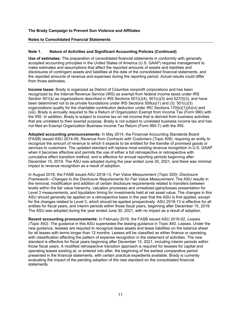#### **Notes to Consolidated Financial Statements**

#### **Note 1. Nature of Activities and Significant Accounting Policies (Continued)**

**Use of estimates:** The preparation of consolidated financial statements in conformity with generally accepted accounting principles in the United States of America (U.S. GAAP) requires management to make estimates and assumptions that affect the reported amounts of assets and liabilities and disclosures of contingent assets and liabilities at the date of the consolidated financial statements, and the reported amounts of revenue and expenses during the reporting period. Actual results could differ from those estimates.

**Income taxes:** Brady is organized as District of Columbia nonprofit corporations and has been recognized by the Internal Revenue Service (IRS) as exempt from federal income taxes under IRS Section 501(a) as organizations described in IRS Sections 501(c)(4), 501(c)(3) and 527(f)(3), and have been determined not to be private foundations under IRS Sections 509(a)(1) and (3). 501(c)(3) organizations qualify for the charitable contribution deduction under IRC Sections 170(b)(1)(A)(vi) and (viii). Brady is annually required to file a Return of Organization Exempt from Income Tax (Form 990) with the IRS. In addition, Brady is subject to income tax on net income that is derived from business activities that are unrelated to their exempt purpose. Brady is not subject to unrelated business income tax and has not filed an Exempt Organization Business Income Tax Return (Form 990-T) with the IRS.

**Adopted accounting pronouncements:** In May 2014, the Financial Accounting Standards Board (FASB) issued ASU 2014-09, *Revenue from Contracts with Customers (Topic 606),* requiring an entity to recognize the amount of revenue to which it expects to be entitled for the transfer of promised goods or services to customers. The updated standard will replace most existing revenue recognition in U.S. GAAP when it becomes effective and permits the use of either a full retrospective or retrospective with cumulative effect transition method, and is effective for annual reporting periods beginning after December 15, 2019. The ASU was adopted during the year ended June 30, 2021, and there was minimal impact to revenue recognition as a result of adoption.

In August 2018, the FASB issued ASU 2018-13, *Fair Value Measurement (Topic 820): Disclosure Framework*—*Changes to the Disclosure Requirements for Fair Value Measurement*. The ASU results in the removal, modification and addition of certain disclosure requirements related to transfers between levels within the fair value hierarchy, valuation processes and unrealized gains/losses presentation for Level 3 measurements, and liquidation timing for investments held at net asset value. The changes in this ASU should generally be applied on a retrospective basis in the year that the ASU is first applied, except for the changes related to Level 3, which should be applied prospectively. ASU 2018-13 is effective for all entities for fiscal years, and interim periods within those fiscal years, beginning after December 15, 2019. The ASU was adopted during the year ended June 30, 2021, with no impact as a result of adoption.

**Recent accounting pronouncements:** In February 2016, the FASB issued ASU 2016-02, *Leases (Topic 842)*. The guidance in this ASU supersedes the leasing guidance in Topic 840, Leases. Under the new guidance, lessees are required to recognize lease assets and lease liabilities on the balance sheet for all leases with terms longer than 12 months. Leases will be classified as either finance or operating, with classification affecting the pattern of expense recognition in the statement of activities. The new standard is effective for fiscal years beginning after December 15, 2021, including interim periods within those fiscal years. A modified retrospective transition approach is required for lessees for capital and operating leases existing at, or entered into after, the beginning of the earliest comparative period presented in the financial statements, with certain practical expedients available. Brady is currently evaluating the impact of the pending adoption of the new standard on the consolidated financial statements.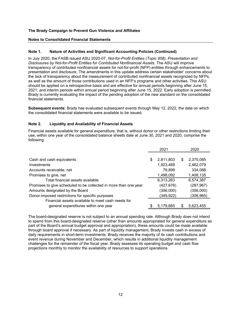#### **Notes to Consolidated Financial Statements**

## **Note 1. Nature of Activities and Significant Accounting Policies (Continued)**

In July 2020, the FASB issued ASU 2020-07, *Not-for-Profit Entities (Topic 958), Presentation and Disclosures by Not-for-Profit Entities for Contributed Nonfinancial Assets*. The ASU will improve transparency of contributed nonfinancial assets for not-for-profit (NFP) entities through enhancements to presentation and disclosure. The amendments in this update address certain stakeholder' concerns about the lack of transparency about the measurement of contributed nonfinancial assets recognized by NFPs, as well as the amount of those contributions used in an NFP's programs and other activities. This ASU should be applied on a retrospective basis and are effective for annual periods beginning after June 15, 2021, and interim periods within annual period beginning after June 15, 2022. Early adoption is permitted. Brady is currently evaluating the impact of the pending adoption of the new standard on the consolidated financial statements.

**Subsequent events:** Brady has evaluated subsequent events through May 12, 2022, the date on which the consolidated financial statements were available to be issued.

## **Note 2. Liquidity and Availability of Financial Assets**

Financial assets available for general expenditure, that is, without donor or other restrictions limiting their use, within one year of the consolidated balance sheets date at June 30, 2021 and 2020, comprise the following:

|                                                                  | 2021            |   | 2020       |
|------------------------------------------------------------------|-----------------|---|------------|
|                                                                  |                 |   |            |
| Cash and cash equivalents                                        | \$<br>2,811,803 | S | 2,370,085  |
| Investments                                                      | 1,923,469       |   | 2,462,079  |
| Accounts receivable, net                                         | 79,899          |   | 334,088    |
| Promises to give, net                                            | 1,498,092       |   | 1,408,135  |
| Total financial assets available                                 | 6,313,263       |   | 6,574,387  |
| Promises to give scheduled to be collected in more than one year | (427,676)       |   | (287, 967) |
| Amounts designated by the Board                                  | (356,000)       |   | (356,000)  |
| Donor-imposed restrictions for specific purposes                 | (349,922)       |   | (306,965)  |
| Financial assets available to meet cash needs for                |                 |   |            |
| general expenditures within one year                             | 5,179,665       |   | 5,623,455  |
|                                                                  |                 |   |            |

The board-designated reserve is not subject to an annual spending rate. Although Brady does not intend to spend from this board-designated reserve (other than amounts appropriated for general expenditure as part of the Board's annual budget approval and appropriation), these amounts could be made available through board approval if necessary. As part of liquidity management, Brady invests cash in excess of daily requirements in short-term investments. Brady receives the majority of its cash contributions and event revenue during November and December, which results in additional liquidity management challenges for the remainder of the fiscal year. Brady assesses its operating budget and cash flow projections monthly to monitor the availability of resources to support operations.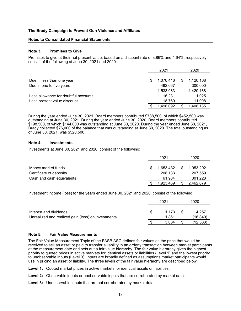#### **Notes to Consolidated Financial Statements**

#### **Note 3. Promises to Give**

Promises to give at their net present value, based on a discount rate of 3.86% and 4.64%, respectively, consist of the following at June 30, 2021 and 2020:

|                                      |   | 2021      |   | 2020      |
|--------------------------------------|---|-----------|---|-----------|
| Due in less than one year            | S | 1,070,416 | S | 1,120,168 |
| Due in one to five years             |   | 462,667   |   | 300,000   |
|                                      |   | 1,533,083 |   | 1,420,168 |
| Less allowance for doubtful accounts |   | 16,231    |   | 1,025     |
| Less present value discount          |   | 18.760    |   | 11,008    |
|                                      |   | 1.498.092 |   | 1,408,135 |

During the year ended June 30, 2021, Board members contributed \$788,500, of which \$452,500 was outstanding at June 30, 2021. During the year ended June 30, 2020, Board members contributed \$198,500, of which \$144,000 was outstanding at June 30, 2020. During the year ended June 30, 2021, Brady collected \$76,000 of the balance that was outstanding at June 30, 2020. The total outstanding as of June 30, 2021, was \$520,500.

#### **Note 4. Investments**

Investments at June 30, 2021 and 2020, consist of the following:

|                           |   | 2021      |   | 2020      |
|---------------------------|---|-----------|---|-----------|
|                           |   |           |   |           |
| Money market funds        | S | 1,653,432 | S | 1,953,292 |
| Certificate of deposits   |   | 208,133   |   | 207,559   |
| Cash and cash equivalents |   | 61.904    |   | 301,228   |
|                           |   | 1.923.469 |   | 2.462.079 |

Investment income (loss) for the years ended June 30, 2021 and 2020, consist of the following:

|                                                                              |     | 2021           |      | 2020              |
|------------------------------------------------------------------------------|-----|----------------|------|-------------------|
| Interest and dividends<br>Unrealized and realized gain (loss) on investments | \$. | 1.173<br>1.861 | - \$ | 4.257<br>(16.840) |
|                                                                              |     |                |      |                   |
|                                                                              |     | 3.034          |      | 12.583            |

#### **Note 5. Fair Value Measurements**

The Fair Value Measurement Topic of the FASB ASC defines fair values as the price that would be received to sell an asset or paid to transfer a liability in an orderly transaction between market participants at the measurement date and sets out a fair value hierarchy. The fair value hierarchy gives the highest priority to quoted prices in active markets for identical assets or liabilities (Level 1) and the lowest priority to unobservable inputs (Level 3). Inputs are broadly defined as assumptions market participants would use in pricing an asset or liability. The three levels of the fair value hierarchy are described below:

**Level 1:** Quoted market prices in active markets for identical assets or liabilities.

- **Level 2:** Observable inputs or unobservable inputs that are corroborated by market data.
- **Level 3:** Unobservable inputs that are not corroborated by market data.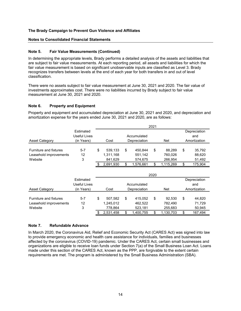#### **Notes to Consolidated Financial Statements**

#### **Note 5. Fair Value Measurements (Continued)**

In determining the appropriate levels, Brady performs a detailed analysis of the assets and liabilities that are subject to fair value measurements. At each reporting period, all assets and liabilities for which the fair value measurement is based on significant unobservable inputs are classified as Level 3. Brady recognizes transfers between levels at the end of each year for both transfers in and out of level classification.

There were no assets subject to fair value measurement at June 30, 2021 and 2020. The fair value of investments approximates cost. There were no liabilities incurred by Brady subject to fair value measurement at June 30, 2021 and 2020.

#### **Note 6. Property and Equipment**

Property and equipment and accumulated depreciation at June 30, 2021 and 2020, and depreciation and amortization expense for the years ended June 30, 2021 and 2020, are as follows:

|                        | Estimated    |                                    |           |     |           |    |           |    | Depreciation |
|------------------------|--------------|------------------------------------|-----------|-----|-----------|----|-----------|----|--------------|
|                        | Useful Lives |                                    |           | and |           |    |           |    |              |
| <b>Asset Category</b>  | (in Years)   | Depreciation<br><b>Net</b><br>Cost |           |     |           |    |           |    | Amortization |
|                        |              |                                    |           |     |           |    |           |    |              |
| Furniture and fixtures | $5 - 7$      | \$                                 | 539.133   | \$  | 450.844   | \$ | 88.289    | \$ | 35,792       |
| Leasehold improvements | 12           |                                    | 1,311,168 |     | 551,142   |    | 760,026   |    | 88,620       |
| Website                | 3            |                                    | 841.629   |     | 574.675   |    | 266,954   |    | 51,492       |
|                        |              |                                    | 2,691,930 |     | 1,576,661 | \$ | 1,115,269 | \$ | 175,904      |

|                        |              | 2020                 |    |           |    |            |    |              |  |  |  |  |
|------------------------|--------------|----------------------|----|-----------|----|------------|----|--------------|--|--|--|--|
|                        | Estimated    |                      |    |           |    |            |    | Depreciation |  |  |  |  |
|                        | Useful Lives | Accumulated          |    |           |    |            |    | and          |  |  |  |  |
| <b>Asset Category</b>  | (in Years)   | Depreciation<br>Cost |    |           |    | <b>Net</b> |    | Amortization |  |  |  |  |
|                        |              |                      |    |           |    |            |    |              |  |  |  |  |
| Furniture and fixtures | $5 - 7$      | \$<br>507.582        | \$ | 415.052   | \$ | 92.530     | \$ | 44,820       |  |  |  |  |
| Leasehold improvements | 12           | 1,245,012            |    | 462.522   |    | 782.490    |    | 71.729       |  |  |  |  |
| Website                | 3            | 778.864              |    | 523.181   |    | 255,683    |    | 50,945       |  |  |  |  |
|                        |              | 2.531.458            | \$ | 1,400,755 | \$ | 1,130,703  | \$ | 167.494      |  |  |  |  |

## **Note 7. Refundable Advance**

In March 2020, the Coronavirus Aid, Relief and Economic Security Act (CARES Act) was signed into law to provide emergency economic and health care assistance for individuals, families and businesses affected by the coronavirus (COVID-19) pandemic. Under the CARES Act, certain small businesses and organizations are eligible to receive loan funds under Section 7(a) of the Small Business Loan Act. Loans made under this section of the CARES Act, known as the PPP, are forgivable to the extent certain requirements are met. The program is administered by the Small Business Administration (SBA).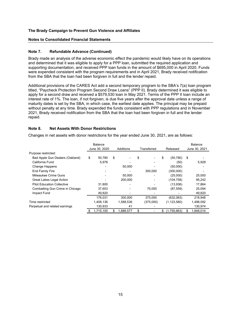#### **Notes to Consolidated Financial Statements**

#### **Note 7. Refundable Advance (Continued)**

Brady made an analysis of the adverse economic effect the pandemic would likely have on its operations and determined that it was eligible to apply for a PPP loan, submitted the required application and supporting documentation, and received PPP loan funds in the amount of \$695,000 in April 2020. Funds were expended consistent with the program requirements and in April 2021, Brady received notification from the SBA that the loan had been forgiven in full and the lender repaid.

Additional provisions of the CARES Act add a second temporary program to the SBA's 7(a) loan program titled, "Paycheck Protection Program Second Draw Loans" (PPP II). Brady determined it was eligible to apply for a second draw and received a \$579,530 loan in May 2021. Terms of the PPP II loan include an interest rate of 1%. The loan, if not forgiven, is due five years after the approval date unless a range of maturity dates is set by the SBA, in which case, the earliest date applies. The principal may be prepaid without penalty at any time. Brady expended the funds consistent with PPP regulations and in November 2021, Brady received notification from the SBA that the loan had been forgiven in full and the lender repaid.

#### **Note 8. Net Assets With Donor Restrictions**

Changes in net assets with donor restrictions for the year ended June 30, 2021, are as follows:

|                                   |    | Balance       |    |           |             |           |    |               |    | <b>Balance</b> |  |
|-----------------------------------|----|---------------|----|-----------|-------------|-----------|----|---------------|----|----------------|--|
|                                   |    | June 30, 2020 |    | Additions | Transferred |           |    | Released      |    | June 30, 2021  |  |
| Purpose restricted:               |    |               |    |           |             |           |    |               |    |                |  |
| Bad Apple Gun Dealers (Oakland)   | \$ | 50,780        | \$ |           | \$          |           | \$ | (50, 780)     | \$ |                |  |
| California Fund                   |    | 5,978         |    |           |             |           |    | (50)          |    | 5,928          |  |
| <b>Change Happens</b>             |    |               |    | 50,000    |             |           |    | (50,000)      |    |                |  |
| <b>End Family Fire</b>            |    |               |    |           |             | 300,000   |    | (300,000)     |    |                |  |
| Milwaukee Crime Guns              |    |               |    | 50.000    |             |           |    | (25,000)      |    | 25,000         |  |
| Great Lakes Legal Action          |    |               |    | 200,000   |             |           |    | (104, 758)    |    | 95,242         |  |
| <b>Pilot Education Collective</b> |    | 31,800        |    |           |             |           |    | (13,936)      |    | 17,864         |  |
| Combatting Gun Crime in Chicago   |    | 37,653        |    |           |             | 75,000    |    | (87, 559)     |    | 25,094         |  |
| Impact Fund                       |    | 49,820        |    |           |             |           |    |               |    | 49,820         |  |
|                                   |    | 176,031       |    | 300,000   |             | 375,000   |    | (632,083)     |    | 218.948        |  |
| Time restricted                   |    | 1,408,136     |    | 1,588,536 |             | (375,000) |    | (1, 123, 580) |    | 1,498,092      |  |
| Perpetual and related earnings    |    | 130,933       |    | 41        |             |           |    |               |    | 130,974        |  |
|                                   | S  | 1,715,100     | \$ | 1,888,577 | \$          |           | \$ | (1,755,663)   |    | 1,848,014      |  |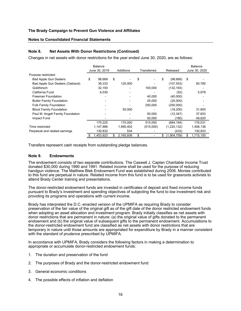#### **Notes to Consolidated Financial Statements**

#### **Note 8. Net Assets With Donor Restrictions (Continued)**

Changes in net assets with donor restrictions for the year ended June 30, 2020, are as follows:

|                                  | Balance       |     |           |             |                   |    | Balance       |  |
|----------------------------------|---------------|-----|-----------|-------------|-------------------|----|---------------|--|
|                                  | June 30, 2019 |     | Additions | Transferred | Released          |    | June 30, 2020 |  |
| Purpose restricted:              |               |     |           |             |                   |    |               |  |
| <b>Bad Apple Gun Dealers</b>     | \$<br>98,669  | \$  |           | \$          | \$<br>(98, 669)   | \$ |               |  |
| Bad Apple Gun Dealers (Oakland)  | 38,333        |     | 120,000   |             | (107, 553)        |    | 50,780        |  |
| Goldhirsch                       | 32,193        |     |           | 100,000     | (132, 193)        |    |               |  |
| California Fund                  | 6,030         |     |           |             | (52)              |    | 5,978         |  |
| Freeman Foundation               |               |     |           | 40,000      | (40,000)          |    |               |  |
| <b>Butler Family Foundation</b>  |               |     |           | 25,000      | (25,000)          |    |               |  |
| <b>Fulk Family Foundation</b>    |               |     |           | 250,000     | (250,000)         |    |               |  |
| <b>Block Family Foundation</b>   |               |     | 50,000    |             | (18,200)          |    | 31,800        |  |
| Paul M. Angell Family Foundation |               |     |           | 50,000      | (12, 347)         |    | 37,653        |  |
| Impact Fund                      |               |     |           | 50,000      | (180)             |    | 49,820        |  |
|                                  | 175,225       |     | 170,000   | 515,000     | (684, 194)        |    | 176,031       |  |
| Time restricted                  | 1,147,866     |     | 1,995,402 | (515,000)   | (1,220,132)       |    | 1,408,136     |  |
| Perpetual and related earnings   | 130,832       |     | 534       |             | (433)             |    | 130,933       |  |
|                                  | ,453,923      | \$. | 2,165,936 | \$          | \$<br>(1,904,759) | \$ | 1,715,100     |  |

Transfers represent cash receipts from outstanding pledge balances.

#### **Note 9. Endowments**

The endowment consists of two separate contributions. The Caswell J. Caplan Charitable Income Trust donated \$30,000 during 1990 and 1991. Related income shall be used for the purpose of reducing handgun violence. The Matthew Blek Endowment Fund was established during 2006. Monies contributed to this fund are perpetual in nature. Related income from this fund is to be used for grassroots activists to attend Brady Center training and presentations.

The donor-restricted endowment funds are invested in certificates of deposit and fixed income funds pursuant to Brady's investment and spending objectives of subjecting the fund to low investment risk and providing its programs and operations with current income.

Brady has interpreted the D.C.-enacted version of the UPMIFA as requiring Brady to consider preservation of the fair value of the original gift as of the gift date of the donor restricted endowment funds when adopting an asset allocation and investment program. Brady initially classifies as net assets with donor restrictions that are permanent in nature: (a) the original value of gifts donated to the permanent endowment and (b) the original value of subsequent gifts to the permanent endowment. Accumulations to the donor-restricted endowment fund are classified as net assets with donor restrictions that are temporary in nature until those amounts are appropriated for expenditure by Brady in a manner consistent with the standard of prudence prescribed by UPMIFA.

In accordance with UPMIFA, Brady considers the following factors in making a determination to appropriate or accumulate donor-restricted endowment funds:

- 1. The duration and preservation of the fund
- 2. The purposes of Brady and the donor-restricted endowment fund
- 3. General economic conditions
- 4. The possible effects of inflation and deflation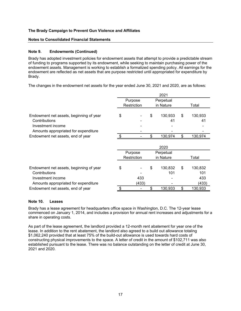#### **Notes to Consolidated Financial Statements**

## **Note 9. Endowments (Continued)**

Brady has adopted investment policies for endowment assets that attempt to provide a predictable stream of funding to programs supported by its endowment, while seeking to maintain purchasing power of the endowment assets. Management is working to establish a formalized spending policy. All earnings for the endowment are reflected as net assets that are purpose restricted until appropriated for expenditure by Brady.

The changes in the endowment net assets for the year ended June 30, 2021 and 2020, are as follows:

|                                         | 2021 |             |    |           |    |         |  |  |  |
|-----------------------------------------|------|-------------|----|-----------|----|---------|--|--|--|
|                                         |      | Purpose     |    | Perpetual |    |         |  |  |  |
|                                         |      | Restriction |    | in Nature |    | Total   |  |  |  |
|                                         |      |             |    |           |    |         |  |  |  |
| Endowment net assets, beginning of year | \$   |             | \$ | 130,933   | \$ | 130,933 |  |  |  |
| Contributions                           |      |             |    | 41        |    | 41      |  |  |  |
| Investment income                       |      |             |    |           |    |         |  |  |  |
| Amounts appropriated for expenditure    |      |             |    |           |    |         |  |  |  |
| Endowment net assets, end of year       |      |             | \$ | 130,974   | \$ | 130,974 |  |  |  |
|                                         |      |             |    |           |    |         |  |  |  |
|                                         |      | 2020        |    |           |    |         |  |  |  |
|                                         |      | Purpose     |    | Perpetual |    |         |  |  |  |
|                                         |      | Restriction |    | in Nature |    | Total   |  |  |  |
|                                         |      |             |    |           |    |         |  |  |  |
| Endowment net assets, beginning of year | \$   |             | \$ | 130,832   | \$ | 130,832 |  |  |  |
| Contributions                           |      |             |    | 101       |    | 101     |  |  |  |
| Investment income                       |      | 433         |    |           |    | 433     |  |  |  |
| Amounts appropriated for expenditure    |      | (433)       |    |           |    | (433)   |  |  |  |
| Endowment net assets, end of year       | \$   |             | \$ | 130.933   | \$ | 130,933 |  |  |  |

#### **Note 10. Leases**

Brady has a lease agreement for headquarters office space in Washington, D.C. The 12-year lease commenced on January 1, 2014, and includes a provision for annual rent increases and adjustments for a share in operating costs.

As part of the lease agreement, the landlord provided a 12-month rent abatement for year one of the lease. In addition to the rent abatement, the landlord also agreed to a build out allowance totaling \$1,062,240 provided that at least 75% of the build-out allowance is used towards hard costs of constructing physical improvements to the space. A letter of credit in the amount of \$102,711 was also established pursuant to the lease. There was no balance outstanding on the letter of credit at June 30, 2021 and 2020.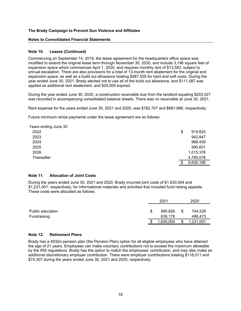#### **Notes to Consolidated Financial Statements**

#### **Note 10. Leases (Continued)**

Commencing on September 14, 2019, the lease agreement for the headquarters office space was modified to extend the original lease term through November 30, 2030, and include 3,196 square feet of expansion space which commences April 1, 2020, and requires monthly rent of \$13,583, subject to annual escalation. There are also provisions for a total of 13-month rent abatement for the original and expansion space, as well as a build out allowance totaling \$587,005 for hard and soft costs. During the year ended June 30, 2021, Brady elected not to use all of the build out allowance, and \$111,587 was applied as additional rent abatement, and \$25,000 expired.

During the year ended June 30, 2020, a construction receivable due from the landlord equaling \$203,027 was recorded in accompanying consolidated balance sheets. There was no receivable at June 30, 2021.

Rent expense for the years ended June 30, 2021 and 2020, was \$782,707 and \$681,988, respectively.

Future minimum rental payments under the lease agreement are as follows:

| Years ending June 30: |               |
|-----------------------|---------------|
| 2022                  | \$<br>919,825 |
| 2023                  | 942,847       |
| 2024                  | 966,439       |
| 2025                  | 990,601       |
| 2026                  | 1,015,378     |
| Thereafter            | 4,795,078     |
|                       | 9,630,168     |

#### **Note 11. Allocation of Joint Costs**

During the years ended June 30, 2021 and 2020, Brady incurred joint costs of \$1,630,004 and \$1,231,001, respectively, for informational materials and activities that included fund raising appeals. These costs were allocated as follows:

|                  | 2021          |    | 2020      |  |  |  |
|------------------|---------------|----|-----------|--|--|--|
|                  |               |    |           |  |  |  |
| Public education | \$<br>990,826 | \$ | 744,528   |  |  |  |
| Fundraising      | 639.178       |    | 486,473   |  |  |  |
|                  | ,630,004      | ۰D | 1,231,001 |  |  |  |

#### **Note 12. Retirement Plans**

Brady has a 403(b) pension plan (the Pension Plan) option for all eligible employees who have attained the age of 21 years. Employees can make voluntary contributions not to exceed the maximum allowable by the IRS regulations. Brady has the option to match the employees' contribution, and may also make an additional discretionary employer contribution. There were employer contributions totaling \$118,011 and \$74,307 during the years ended June 30, 2021 and 2020, respectively.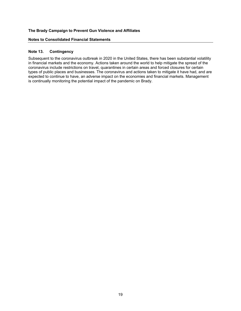#### **Notes to Consolidated Financial Statements**

#### **Note 13. Contingency**

Subsequent to the coronavirus outbreak in 2020 in the United States, there has been substantial volatility in financial markets and the economy. Actions taken around the world to help mitigate the spread of the coronavirus include restrictions on travel, quarantines in certain areas and forced closures for certain types of public places and businesses. The coronavirus and actions taken to mitigate it have had, and are expected to continue to have, an adverse impact on the economies and financial markets. Management is continually monitoring the potential impact of the pandemic on Brady.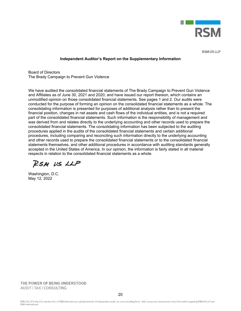

**RSM US LLP** 

#### **Independent Auditor's Report on the Supplementary Information**

Board of Directors The Brady Campaign to Prevent Gun Violence

We have audited the consolidated financial statements of The Brady Campaign to Prevent Gun Violence and Affiliates as of June 30, 2021 and 2020, and have issued our report thereon, which contains an unmodified opinion on those consolidated financial statements. See pages 1 and 2. Our audits were conducted for the purpose of forming an opinion on the consolidated financial statements as a whole. The consolidating information is presented for purposes of additional analysis rather than to present the financial position, changes in net assets and cash flows of the individual entities, and is not a required part of the consolidated financial statements. Such information is the responsibility of management and was derived from and relates directly to the underlying accounting and other records used to prepare the consolidated financial statements. The consolidating information has been subjected to the auditing procedures applied in the audits of the consolidated financial statements and certain additional procedures, including comparing and reconciling such information directly to the underlying accounting and other records used to prepare the consolidated financial statements or to the consolidated financial statements themselves, and other additional procedures in accordance with auditing standards generally accepted in the United States of America. In our opinion, the information is fairly stated in all material respects in relation to the consolidated financial statements as a whole.

RSM US LLP

Washington, D.C. May 12, 2022

THE POWER OF BEING UNDERSTOOD **AUDIT | TAX | CONSULTING**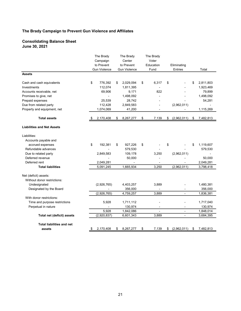#### **Consolidating Balance Sheet June 30, 2021**

|                                   | The Brady<br>Campaign<br>to Prevent |                     | The Brady<br>Center<br>to Prevent | The Brady<br>Voter<br>Education | Eliminating |                          |    |                        |
|-----------------------------------|-------------------------------------|---------------------|-----------------------------------|---------------------------------|-------------|--------------------------|----|------------------------|
|                                   |                                     | <b>Gun Violence</b> | <b>Gun Violence</b>               | Fund                            |             | <b>Entries</b>           |    | Total                  |
| <b>Assets</b>                     |                                     |                     |                                   |                                 |             |                          |    |                        |
| Cash and cash equivalents         | \$                                  | 776,392             | \$<br>2,029,094                   | \$<br>6,317                     | \$          |                          | \$ | 2,811,803              |
| Investments                       |                                     | 112,074             | 1,811,395                         | $\overline{a}$                  |             |                          |    | 1,923,469              |
| Accounts receivable, net          |                                     | 69,906              | 9,171                             | 822                             |             |                          |    | 79,899                 |
| Promises to give, net             |                                     |                     | 1,498,092                         |                                 |             |                          |    | 1,498,092              |
| Prepaid expenses                  |                                     | 25,539              | 28,742                            |                                 |             |                          |    | 54,281                 |
| Due from related party            |                                     | 112,428             | 2,849,583                         | $\frac{1}{2}$                   |             | (2,962,011)              |    |                        |
| Property and equipment, net       |                                     | 1,074,069           | 41,200                            | $\overline{\phantom{a}}$        |             |                          |    | 1,115,269              |
| <b>Total assets</b>               |                                     | 2,170,408           | \$<br>8,267,277                   | \$<br>7,139                     | \$          | (2,962,011)              | \$ | 7,482,813              |
| <b>Liabilities and Net Assets</b> |                                     |                     |                                   |                                 |             |                          |    |                        |
| Liabilities:                      |                                     |                     |                                   |                                 |             |                          |    |                        |
| Accounts payable and              |                                     |                     |                                   |                                 |             |                          |    |                        |
| accrued expenses                  | \$                                  | 192,381             | \$<br>927,226                     | \$                              | \$          |                          | \$ | 1,119,607              |
| Refundable advances               |                                     |                     | 579,530                           |                                 |             |                          |    | 579,530                |
| Due to related party              |                                     | 2,849,583           | 109,178                           | 3,250                           |             | (2,962,011)              |    | $\overline{a}$         |
| Deferred revenue                  |                                     |                     | 50,000                            |                                 |             |                          |    | 50,000                 |
| Deferred rent                     |                                     | 2,049,281           |                                   |                                 |             |                          |    | 2,049,281              |
| <b>Total liabilities</b>          |                                     | 5,091,245           | 1,665,934                         | 3,250                           |             | (2,962,011)              |    | $\overline{3,798,418}$ |
| Net (deficit) assets:             |                                     |                     |                                   |                                 |             |                          |    |                        |
| Without donor restrictions:       |                                     |                     |                                   |                                 |             |                          |    |                        |
| Undesignated                      |                                     | (2,926,765)         | 4,403,257                         | 3,889                           |             |                          |    | 1,480,381              |
| Designated by the Board           |                                     |                     | 356,000                           |                                 |             |                          |    | 356,000                |
|                                   |                                     | (2,926,765)         | 4,759,257                         | 3,889                           |             | $\blacksquare$           |    | 1,836,381              |
| With donor restrictions:          |                                     |                     |                                   |                                 |             |                          |    |                        |
| Time and purpose restrictions     |                                     | 5,928               | 1,711,112                         | $\overline{\phantom{a}}$        |             |                          |    | 1,717,040              |
| Perpetual in nature               |                                     |                     | 130,974                           | $\frac{1}{2}$                   |             |                          |    | 130,974                |
|                                   |                                     | 5,928               | 1,842,086                         | $\overline{\phantom{0}}$        |             | $\overline{\phantom{a}}$ |    | 1,848,014              |
| Total net (deficit) assets        |                                     | (2,920,837)         | 6,601,343                         | 3,889                           |             | $\blacksquare$           |    | 3,684,395              |
| <b>Total liabilities and net</b>  |                                     |                     |                                   |                                 |             |                          |    |                        |
| assets                            | \$                                  | 2,170,408           | \$<br>8,267,277                   | \$<br>7,139                     | \$          | (2,962,011)              | \$ | 7,482,813              |